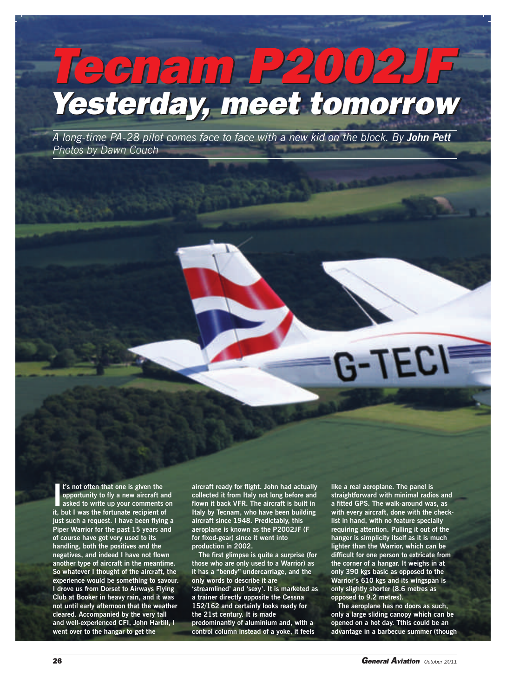## *Tecnam P2002JF Yesterday, meet tomorrow Tecnam P2002JF Yesterday, meet tomorrow*

*A long-time PA-28 pilot comes face to face with a new kid on the block. By John Pett Photos by Dawn Couch*

**I**<sup>t</sup>'s not often that one is given the<br>opportunity to fly a new aircraft ar<br>asked to write up your comments of<br>it, but I was the fortunate recipient of **t's not often that one is given the opportunity to fly a new aircraft and asked to write up your comments on just such a request. I have been flying a Piper Warrior for the past 15 years and of course have got very used to its handling, both the positives and the negatives, and indeed I have not flown another type of aircraft in the meantime. So whatever I thought of the aircraft, the experience would be something to savour. I drove us from Dorset to Airways Flying Club at Booker in heavy rain, and it was not until early afternoon that the weather cleared. Accompanied by the very tall and well-experienced CFI, John Hartill, I went over to the hangar to get the**

**aircraft ready for flight. John had actually collected it from Italy not long before and flown it back VFR. The aircraft is built in Italy by Tecnam, who have been building aircraft since 1948. Predictably, this aeroplane is known as the P2002JF (F for fixed-gear) since it went into production in 2002.**

**The first glimpse is quite a surprise (for those who are only used to a Warrior) as it has a "bendy" undercarriage, and the only words to describe it are 'streamlined' and 'sexy'. It is marketed as a trainer directly opposite the Cessna 152/162 and certainly looks ready for the 21st century. It is made predominantly of aluminium and, with a control column instead of a yoke, it feels**

**like a real aeroplane. The panel is straightforward with minimal radios and a fitted GPS. The walk-around was, as with every aircraft, done with the checklist in hand, with no feature specially requiring attention. Pulling it out of the hanger is simplicity itself as it is much lighter than the Warrior, which can be difficult for one person to extricate from the corner of a hangar. It weighs in at only 390 kgs basic as opposed to the Warrior's 610 kgs and its wingspan is only slightly shorter (8.6 metres as opposed to 9.2 metres).**

 $G-TEC$ 

**The aeroplane has no doors as such, only a large sliding canopy which can be opened on a hot day. Tthis could be an advantage in a barbecue summer (though**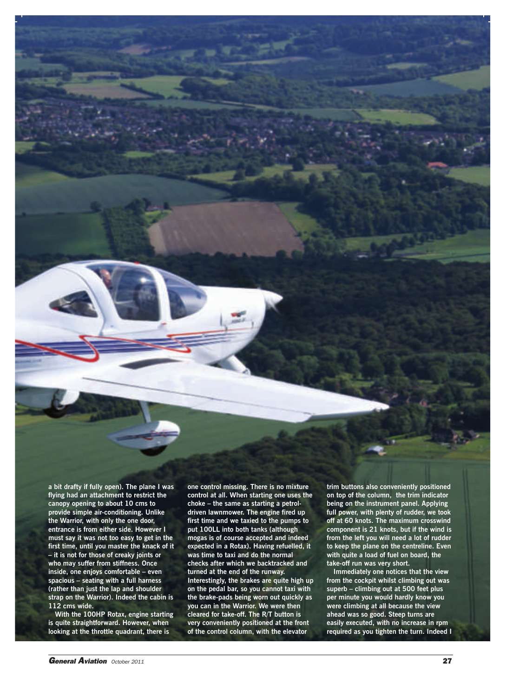**a bit drafty if fully open). The plane I was flying had an attachment to restrict the canopy opening to about 10 cms to provide simple air-conditioning. Unlike the Warrior, with only the one door, entrance is from either side. However I must say it was not too easy to get in the first time, until you master the knack of it – it is not for those of creaky joints or who may suffer from stiffness. Once inside, one enjoys comfortable – even spacious – seating with a full harness (rather than just the lap and shoulder strap on the Warrior). Indeed the cabin is 112 cms wide.**

**With the 100HP Rotax, engine starting is quite straightforward. However, when looking at the throttle quadrant, there is**

**one control missing. There is no mixture control at all. When starting one uses the choke – the same as starting a petroldriven lawnmower. The engine fired up first time and we taxied to the pumps to put 100LL into both tanks (although mogas is of course accepted and indeed expected in a Rotax). Having refuelled, it was time to taxi and do the normal checks after which we backtracked and turned at the end of the runway. Interestingly, the brakes are quite high up on the pedal bar, so you cannot taxi with the brake-pads being worn out quickly as you can in the Warrior. We were then cleared for take-off. The R/T button is very conveniently positioned at the front of the control column, with the elevator**

**trim buttons also conveniently positioned on top of the column, the trim indicator being on the instrument panel. Applying full power, with plenty of rudder, we took off at 60 knots. The maximum crosswind component is 21 knots, but if the wind is from the left you will need a lot of rudder to keep the plane on the centreline. Even with quite a load of fuel on board, the take-off run was very short.**

**Immediately one notices that the view from the cockpit whilst climbing out was superb – climbing out at 500 feet plus per minute you would hardly know you were climbing at all because the view ahead was so good. Steep turns are easily executed, with no increase in rpm required as you tighten the turn. Indeed I**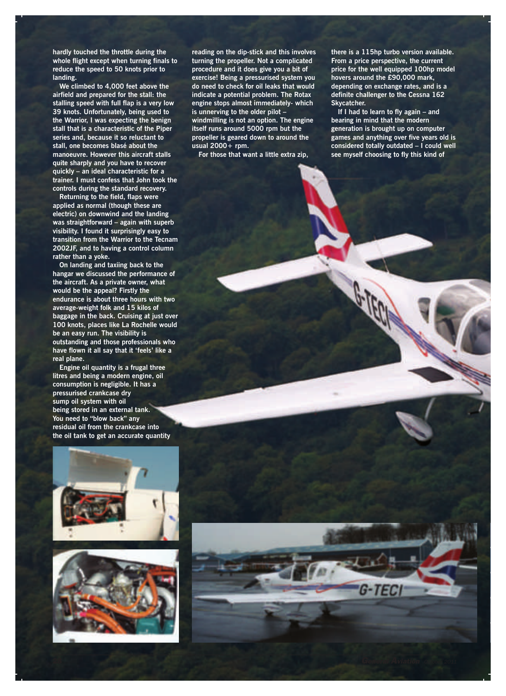**hardly touched the throttle during the whole flight except when turning finals to reduce the speed to 50 knots prior to landing.**

**We climbed to 4,000 feet above the airfield and prepared for the stall: the stalling speed with full flap is a very low 39 knots. Unfortunately, being used to the Warrior, I was expecting the benign stall that is a characteristic of the Piper series and, because it so reluctant to stall, one becomes blasé about the manoeuvre. However this aircraft stalls quite sharply and you have to recover quickly – an ideal characteristic for a trainer. I must confess that John took the controls during the standard recovery.**

**Returning to the field, flaps were applied as normal (though these are electric) on downwind and the landing was straightforward – again with superb visibility. I found it surprisingly easy to transition from the Warrior to the Tecnam 2002JF, and to having a control column rather than a yoke.**

**On landing and taxiing back to the hangar we discussed the performance of the aircraft. As a private owner, what would be the appeal? Firstly the endurance is about three hours with two average-weight folk and 15 kilos of baggage in the back. Cruising at just over 100 knots, places like La Rochelle would be an easy run. The visibility is outstanding and those professionals who have flown it all say that it 'feels' like a real plane.**

**Engine oil quantity is a frugal three litres and being a modern engine, oil consumption is negligible. It has a pressurised crankcase dry sump oil system with oil being stored in an external tank. You need to "blow back" any residual oil from the crankcase into the oil tank to get an accurate quantity**





**reading on the dip-stick and this involves turning the propeller. Not a complicated procedure and it does give you a bit of exercise! Being a pressurised system you do need to check for oil leaks that would indicate a potential problem. The Rotax engine stops almost immediately- which is unnerving to the older pilot – windmilling is not an option. The engine itself runs around 5000 rpm but the propeller is geared down to around the usual 2000+ rpm.**

**For those that want a little extra zip,**

**there is a 115hp turbo version available. From a price perspective, the current price for the well equipped 100hp model hovers around the £90,000 mark, depending on exchange rates, and is a definite challenger to the Cessna 162 Skycatcher.**

**If I had to learn to fly again – and bearing in mind that the modern generation is brought up on computer games and anything over five years old is considered totally outdated – I could well see myself choosing to fly this kind of**